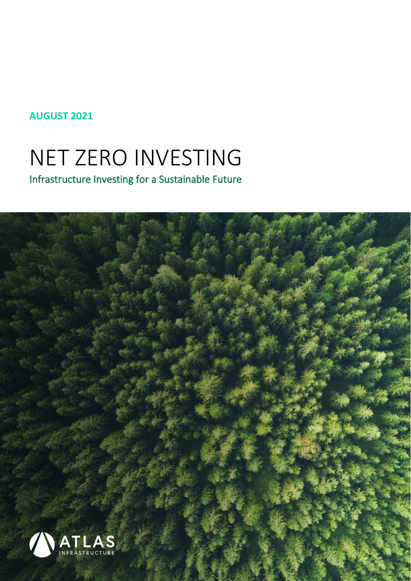#### **AUGUST 2021**

# NET ZERO INVESTING

Infrastructure Investing for a Sustainable Future

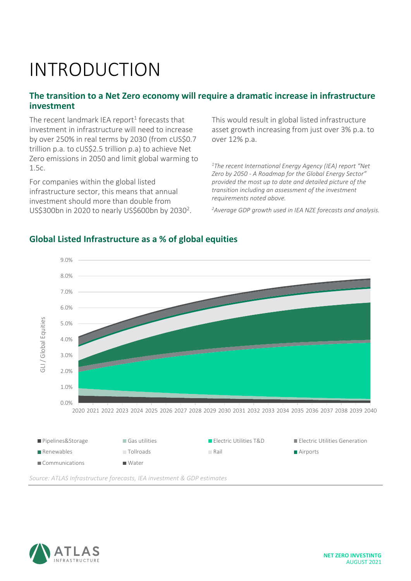# INTRODUCTION

#### **The transition to a Net Zero economy will require a dramatic increase in infrastructure investment**

The recent landmark IEA report<sup>1</sup> forecasts that investment in infrastructure will need to increase by over 250% in real terms by 2030 (from cUS\$0.7 trillion p.a. to cUS\$2.5 trillion p.a) to achieve Net Zero emissions in 2050 and limit global warming to 1.5c.

For companies within the global listed infrastructure sector, this means that annual investment should more than double from US\$300bn in 2020 to nearly US\$600bn by 2030<sup>2</sup>. This would result in global listed infrastructure asset growth increasing from just over 3% p.a. to over 12% p.a.

*<sup>1</sup>The recent International Energy Agency (IEA) report "Net Zero by 2050 - A Roadmap for the Global Energy Sector" provided the most up to date and detailed picture of the transition including an assessment of the investment requirements noted above.*

*<sup>2</sup>Average GDP growth used in IEA NZE forecasts and analysis.*



#### **Global Listed Infrastructure as a % of global equities**



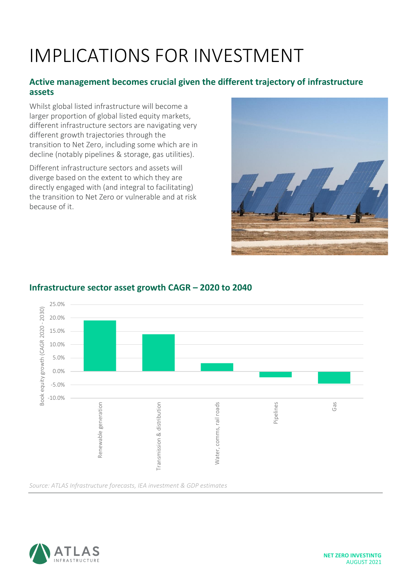# IMPLICATIONS FOR INVESTMENT

#### **Active management becomes crucial given the different trajectory of infrastructure assets**

Whilst global listed infrastructure will become a larger proportion of global listed equity markets, different infrastructure sectors are navigating very different growth trajectories through the transition to Net Zero, including some which are in decline (notably pipelines & storage, gas utilities).

Different infrastructure sectors and assets will diverge based on the extent to which they are directly engaged with (and integral to facilitating) the transition to Net Zero or vulnerable and at risk because of it.





#### **Infrastructure sector asset growth CAGR – 2020 to 2040**

*Source: ATLAS Infrastructure forecasts, IEA investment & GDP estimates*

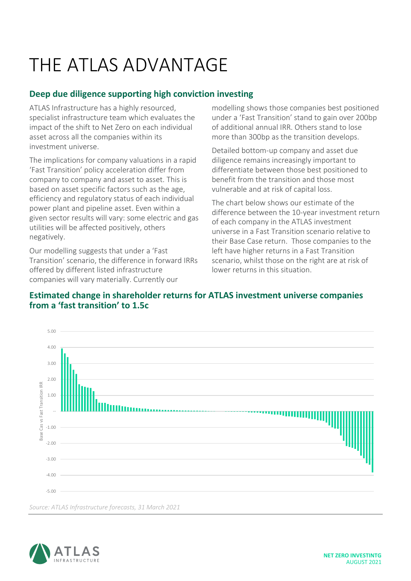# THE ATI AS ADVANTAGE

#### **Deep due diligence supporting high conviction investing**

ATLAS Infrastructure has a highly resourced, specialist infrastructure team which evaluates the impact of the shift to Net Zero on each individual asset across all the companies within its investment universe.

The implications for company valuations in a rapid 'Fast Transition' policy acceleration differ from company to company and asset to asset. This is based on asset specific factors such as the age, efficiency and regulatory status of each individual power plant and pipeline asset. Even within a given sector results will vary: some electric and gas utilities will be affected positively, others negatively.

Our modelling suggests that under a 'Fast Transition' scenario, the difference in forward IRRs offered by different listed infrastructure companies will vary materially. Currently our

modelling shows those companies best positioned under a 'Fast Transition' stand to gain over 200bp of additional annual IRR. Others stand to lose more than 300bp as the transition develops.

Detailed bottom-up company and asset due diligence remains increasingly important to differentiate between those best positioned to benefit from the transition and those most vulnerable and at risk of capital loss.

The chart below shows our estimate of the difference between the 10-year investment return of each company in the ATLAS investment universe in a Fast Transition scenario relative to their Base Case return. Those companies to the left have higher returns in a Fast Transition scenario, whilst those on the right are at risk of lower returns in this situation.

#### **Estimated change in shareholder returns for ATLAS investment universe companies from a 'fast transition' to 1.5c**



*Source: ATLAS Infrastructure forecasts, 31 March 2021*

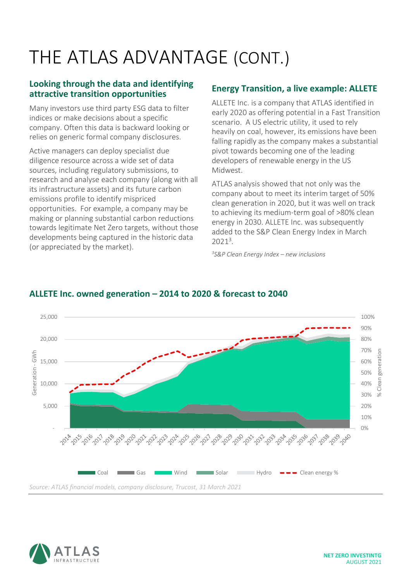# THE ATLAS ADVANTAGE (CONT.)

#### **Looking through the data and identifying attractive transition opportunities**

Many investors use third party ESG data to filter indices or make decisions about a specific company. Often this data is backward looking or relies on generic formal company disclosures.

Active managers can deploy specialist due diligence resource across a wide set of data sources, including regulatory submissions, to research and analyse each company (along with all its infrastructure assets) and its future carbon emissions profile to identify mispriced opportunities. For example, a company may be making or planning substantial carbon reductions towards legitimate Net Zero targets, without those developments being captured in the historic data (or appreciated by the market).

#### **Energy Transition, a live example: ALLETE**

ALLETE Inc. is a company that ATLAS identified in early 2020 as offering potential in a Fast Transition scenario. A US electric utility, it used to rely heavily on coal, however, its emissions have been falling rapidly as the company makes a substantial pivot towards becoming one of the leading developers of renewable energy in the US Midwest.

ATLAS analysis showed that not only was the company about to meet its interim target of 50% clean generation in 2020, but it was well on track to achieving its medium-term goal of >80% clean energy in 2030. ALLETE Inc. was subsequently added to the S&P Clean Energy Index in March 2021 3 .

*3 S&P Clean Energy Index – new inclusions*



#### **ALLETE Inc. owned generation – 2014 to 2020 & forecast to 2040**

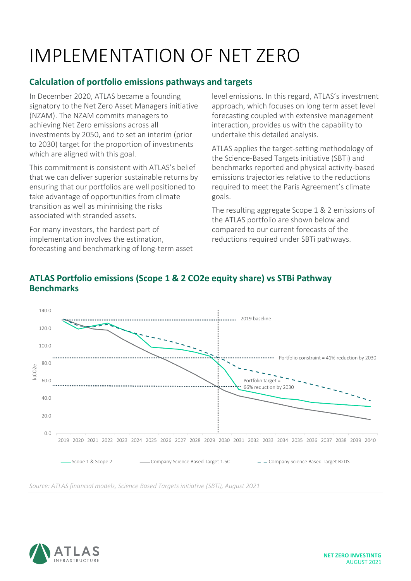# IMPLEMENTATION OF NET ZERO

#### **Calculation of portfolio emissions pathways and targets**

In December 2020, ATLAS became a founding signatory to the Net Zero Asset Managers initiative (NZAM). The NZAM commits managers to achieving Net Zero emissions across all investments by 2050, and to set an interim (prior to 2030) target for the proportion of investments which are aligned with this goal.

This commitment is consistent with ATLAS's belief that we can deliver superior sustainable returns by ensuring that our portfolios are well positioned to take advantage of opportunities from climate transition as well as minimising the risks associated with stranded assets.

For many investors, the hardest part of implementation involves the estimation, forecasting and benchmarking of long-term asset level emissions. In this regard, ATLAS's investment approach, which focuses on long term asset level forecasting coupled with extensive management interaction, provides us with the capability to undertake this detailed analysis.

ATLAS applies the target-setting methodology of the Science-Based Targets initiative (SBTi) and benchmarks reported and physical activity-based emissions trajectories relative to the reductions required to meet the Paris Agreement's climate goals.

The resulting aggregate Scope 1 & 2 emissions of the ATLAS portfolio are shown below and compared to our current forecasts of the reductions required under SBTi pathways.



#### **ATLAS Portfolio emissions (Scope 1 & 2 CO2e equity share) vs STBi Pathway Benchmarks**

*Source: ATLAS financial models, Science Based Targets initiative (SBTi), August 2021*

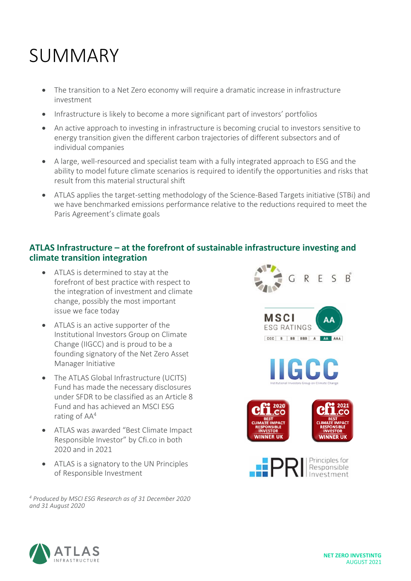### SUMMARY

- The transition to a Net Zero economy will require a dramatic increase in infrastructure investment
- Infrastructure is likely to become a more significant part of investors' portfolios
- An active approach to investing in infrastructure is becoming crucial to investors sensitive to energy transition given the different carbon trajectories of different subsectors and of individual companies
- A large, well-resourced and specialist team with a fully integrated approach to ESG and the ability to model future climate scenarios is required to identify the opportunities and risks that result from this material structural shift
- ATLAS applies the target-setting methodology of the Science-Based Targets initiative (STBi) and we have benchmarked emissions performance relative to the reductions required to meet the Paris Agreement's climate goals

#### **ATLAS Infrastructure – at the forefront of sustainable infrastructure investing and climate transition integration**

- ATLAS is determined to stay at the forefront of best practice with respect to the integration of investment and climate change, possibly the most important issue we face today
- ATLAS is an active supporter of the Institutional Investors Group on Climate Change (IIGCC) and is proud to be a founding signatory of the Net Zero Asset Manager Initiative
- The ATLAS Global Infrastructure (UCITS) Fund has made the necessary disclosures under SFDR to be classified as an Article 8 Fund and has achieved an MSCI ESG rating of AA<sup>4</sup>
- ATLAS was awarded "Best Climate Impact Responsible Investor" by Cfi.co in both 2020 and in 2021
- ATLAS is a signatory to the UN Principles of Responsible Investment

*<sup>4</sup> Produced by MSCI ESG Research as of 31 December 2020 and 31 August 2020*